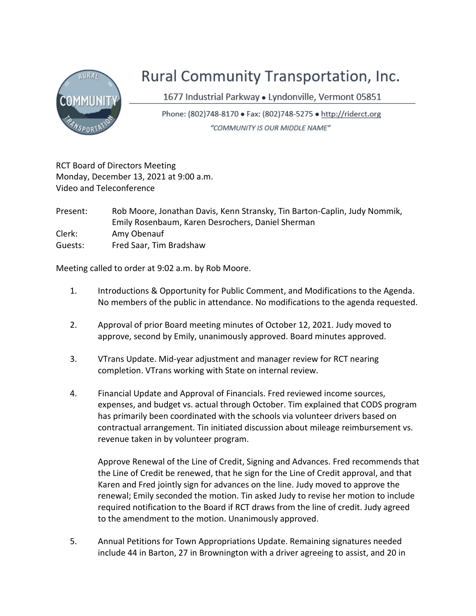

## Rural Community Transportation, Inc.

1677 Industrial Parkway · Lyndonville, Vermont 05851

Phone: (802)748-8170 • Fax: (802)748-5275 • http://riderct.org "COMMUNITY IS OUR MIDDLE NAME"

RCT Board of Directors Meeting Monday, December 13, 2021 at 9:00 a.m. Video and Teleconference

Present: Rob Moore, Jonathan Davis, Kenn Stransky, Tin Barton-Caplin, Judy Nommik, Emily Rosenbaum, Karen Desrochers, Daniel Sherman Clerk: Amy Obenauf Guests: Fred Saar, Tim Bradshaw

Meeting called to order at 9:02 a.m. by Rob Moore.

- 1. Introductions & Opportunity for Public Comment, and Modifications to the Agenda. No members of the public in attendance. No modifications to the agenda requested.
- 2. Approval of prior Board meeting minutes of October 12, 2021. Judy moved to approve, second by Emily, unanimously approved. Board minutes approved.
- 3. VTrans Update. Mid-year adjustment and manager review for RCT nearing completion. VTrans working with State on internal review.
- 4. Financial Update and Approval of Financials. Fred reviewed income sources, expenses, and budget vs. actual through October. Tim explained that CODS program has primarily been coordinated with the schools via volunteer drivers based on contractual arrangement. Tin initiated discussion about mileage reimbursement vs. revenue taken in by volunteer program.

Approve Renewal of the Line of Credit, Signing and Advances. Fred recommends that the Line of Credit be renewed, that he sign for the Line of Credit approval, and that Karen and Fred jointly sign for advances on the line. Judy moved to approve the renewal; Emily seconded the motion. Tin asked Judy to revise her motion to include required notification to the Board if RCT draws from the line of credit. Judy agreed to the amendment to the motion. Unanimously approved.

5. Annual Petitions for Town Appropriations Update. Remaining signatures needed include 44 in Barton, 27 in Brownington with a driver agreeing to assist, and 20 in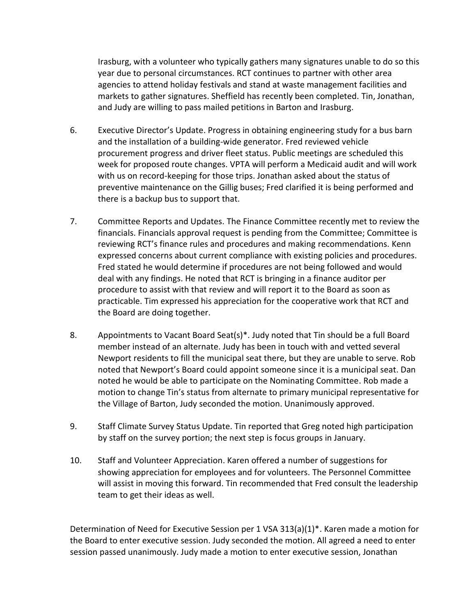Irasburg, with a volunteer who typically gathers many signatures unable to do so this year due to personal circumstances. RCT continues to partner with other area agencies to attend holiday festivals and stand at waste management facilities and markets to gather signatures. Sheffield has recently been completed. Tin, Jonathan, and Judy are willing to pass mailed petitions in Barton and Irasburg.

- 6. Executive Director's Update. Progress in obtaining engineering study for a bus barn and the installation of a building-wide generator. Fred reviewed vehicle procurement progress and driver fleet status. Public meetings are scheduled this week for proposed route changes. VPTA will perform a Medicaid audit and will work with us on record-keeping for those trips. Jonathan asked about the status of preventive maintenance on the Gillig buses; Fred clarified it is being performed and there is a backup bus to support that.
- 7. Committee Reports and Updates. The Finance Committee recently met to review the financials. Financials approval request is pending from the Committee; Committee is reviewing RCT's finance rules and procedures and making recommendations. Kenn expressed concerns about current compliance with existing policies and procedures. Fred stated he would determine if procedures are not being followed and would deal with any findings. He noted that RCT is bringing in a finance auditor per procedure to assist with that review and will report it to the Board as soon as practicable. Tim expressed his appreciation for the cooperative work that RCT and the Board are doing together.
- 8. Appointments to Vacant Board Seat(s)\*. Judy noted that Tin should be a full Board member instead of an alternate. Judy has been in touch with and vetted several Newport residents to fill the municipal seat there, but they are unable to serve. Rob noted that Newport's Board could appoint someone since it is a municipal seat. Dan noted he would be able to participate on the Nominating Committee. Rob made a motion to change Tin's status from alternate to primary municipal representative for the Village of Barton, Judy seconded the motion. Unanimously approved.
- 9. Staff Climate Survey Status Update. Tin reported that Greg noted high participation by staff on the survey portion; the next step is focus groups in January.
- 10. Staff and Volunteer Appreciation. Karen offered a number of suggestions for showing appreciation for employees and for volunteers. The Personnel Committee will assist in moving this forward. Tin recommended that Fred consult the leadership team to get their ideas as well.

Determination of Need for Executive Session per 1 VSA 313(a)(1)\*. Karen made a motion for the Board to enter executive session. Judy seconded the motion. All agreed a need to enter session passed unanimously. Judy made a motion to enter executive session, Jonathan